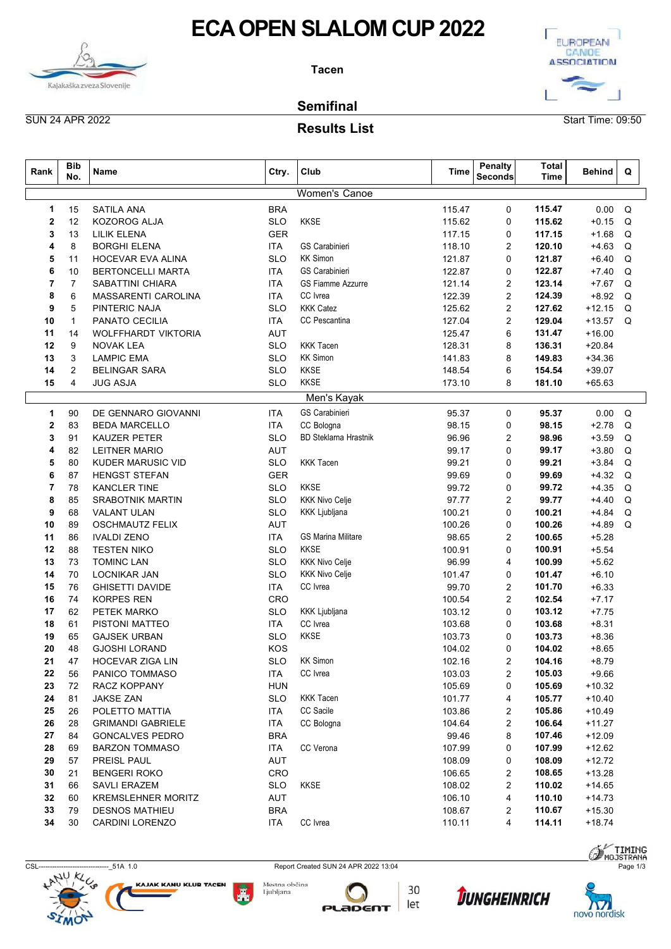



#### Results List

|                             | <b>ECA OPEN SLALOM CUP 2022</b><br>EUROPEAN<br>CANOE<br><b>ASSOCIATION</b><br><b>Tacen</b><br>Kajakaška zveza Slovenije<br><b>Semifinal</b><br><b>SUN 24 APR 2022</b><br>Start Time: 09:50 |                                                    |                          |                              |                  |                                  |                      |                                             |  |  |  |  |  |  |
|-----------------------------|--------------------------------------------------------------------------------------------------------------------------------------------------------------------------------------------|----------------------------------------------------|--------------------------|------------------------------|------------------|----------------------------------|----------------------|---------------------------------------------|--|--|--|--|--|--|
|                             |                                                                                                                                                                                            |                                                    |                          | <b>Results List</b>          |                  |                                  |                      |                                             |  |  |  |  |  |  |
| Rank                        | <b>Bib</b><br>No.                                                                                                                                                                          | Name                                               | Ctry.                    | Club                         | Time             | <b>Penalty</b><br><b>Seconds</b> | <b>Total</b><br>Time | <b>Behind</b><br>Q                          |  |  |  |  |  |  |
|                             |                                                                                                                                                                                            |                                                    |                          | Women's Canoe                |                  |                                  |                      |                                             |  |  |  |  |  |  |
| 2                           | 15<br>12                                                                                                                                                                                   | <b>SATILA ANA</b><br>KOZOROG ALJA                  | <b>BRA</b><br><b>SLO</b> | <b>KKSE</b>                  | 115.47<br>115.62 | 0                                | 115.47<br>115.62     | $0.00 \quad Q$<br>$+0.15$ Q                 |  |  |  |  |  |  |
| 3                           | 13                                                                                                                                                                                         | <b>LILIK ELENA</b>                                 | <b>GER</b>               |                              | 117.15           | 0<br>0                           | 117.15               | $+1.68$ Q                                   |  |  |  |  |  |  |
|                             | 8                                                                                                                                                                                          | <b>BORGHI ELENA</b>                                | <b>ITA</b>               | <b>GS Carabinieri</b>        | 118.10           | 2                                | 120.10               | $+4.63$ Q                                   |  |  |  |  |  |  |
| 5                           | 11                                                                                                                                                                                         | HOCEVAR EVA ALINA                                  | <b>SLO</b>               | <b>KK Simon</b>              | 121.87           | 0                                | 121.87               | $+6.40$<br>Q                                |  |  |  |  |  |  |
| 6                           | 10                                                                                                                                                                                         | <b>BERTONCELLI MARTA</b>                           | <b>ITA</b>               | GS Carabinieri               | 122.87           | 0                                | 122.87               | Q<br>$+7.40$                                |  |  |  |  |  |  |
| 7                           | 7                                                                                                                                                                                          | <b>SABATTINI CHIARA</b>                            | <b>ITA</b>               | <b>GS Fiamme Azzurre</b>     | 121.14           | 2                                | 123.14               | +7.67 Q                                     |  |  |  |  |  |  |
| 8<br>9                      | 6<br>5                                                                                                                                                                                     | MASSARENTI CAROLINA<br>PINTERIC NAJA               | <b>ITA</b><br><b>SLO</b> | CC Ivrea<br><b>KKK Catez</b> | 122.39<br>125.62 | 2<br>2                           | 124.39<br>127.62     | $+8.92$<br>Q<br>$+12.15$ Q                  |  |  |  |  |  |  |
| 10                          | $\overline{\mathbf{1}}$                                                                                                                                                                    | PANATO CECILIA                                     | <b>ITA</b>               | CC Pescantina                | 127.04           | $\overline{2}$                   | 129.04               | Q<br>$+13.57$                               |  |  |  |  |  |  |
| 11                          | 14                                                                                                                                                                                         | WOLFFHARDT VIKTORIA                                | <b>AUT</b>               |                              | 125.47           | 6                                | 131.47               | $+16.00$                                    |  |  |  |  |  |  |
| 12                          | 9                                                                                                                                                                                          | <b>NOVAK LEA</b>                                   | <b>SLO</b>               | <b>KKK Tacen</b>             | 128.31           | 8                                | 136.31               | $+20.84$                                    |  |  |  |  |  |  |
| 13                          | 3                                                                                                                                                                                          | <b>LAMPIC EMA</b>                                  | <b>SLO</b>               | <b>KK Simon</b>              | 141.83           | 8                                | 149.83               | $+34.36$                                    |  |  |  |  |  |  |
| 14                          | $\overline{2}$                                                                                                                                                                             | <b>BELINGAR SARA</b>                               | <b>SLO</b>               | <b>KKSE</b>                  | 148.54           | 6                                | 154.54               | $+39.07$                                    |  |  |  |  |  |  |
| 15                          | 4                                                                                                                                                                                          | <b>JUG ASJA</b>                                    | SLO                      | <b>KKSE</b>                  | 173.10           | 8                                | 181.10               | $+65.63$                                    |  |  |  |  |  |  |
|                             |                                                                                                                                                                                            |                                                    |                          | Men's Kayak                  |                  |                                  |                      |                                             |  |  |  |  |  |  |
| $\mathbf 1$<br>$\mathbf{2}$ | 90<br>83                                                                                                                                                                                   | DE GENNARO GIOVANNI<br><b>BEDA MARCELLO</b>        | <b>ITA</b><br><b>ITA</b> | GS Carabinieri<br>CC Bologna | 95.37<br>98.15   | $\mathbf 0$<br>$\mathbf 0$       | 95.37<br>98.15       | $0.00 \quad Q$<br>$+2.78$<br>Q              |  |  |  |  |  |  |
| 3                           | 91                                                                                                                                                                                         | KAUZER PETER                                       | <b>SLO</b>               | <b>BD Steklarna Hrastnik</b> | 96.96            | $\overline{2}$                   | 98.96                | $+3.59$<br>Q                                |  |  |  |  |  |  |
| 4                           | 82                                                                                                                                                                                         | <b>LEITNER MARIO</b>                               | AUT                      |                              | 99.17            | $\mathbf 0$                      | 99.17                | $+3.80$<br>Q                                |  |  |  |  |  |  |
| 5                           | 80                                                                                                                                                                                         | KUDER MARUSIC VID                                  | <b>SLO</b>               | <b>KKK Tacen</b>             | 99.21            | $\mathbf 0$                      | 99.21                | $+3.84$<br>Q                                |  |  |  |  |  |  |
| 6                           | 87                                                                                                                                                                                         | <b>HENGST STEFAN</b>                               | <b>GER</b>               |                              | 99.69            | $\mathbf 0$                      | 99.69                | $+4.32$<br>Q                                |  |  |  |  |  |  |
| 7                           | 78                                                                                                                                                                                         | <b>KANCLER TINE</b>                                | <b>SLO</b>               | KKSE                         | 99.72            | $\mathbf 0$                      | 99.72                | Q<br>$+4.35$                                |  |  |  |  |  |  |
| 8                           | 85                                                                                                                                                                                         | <b>SRABOTNIK MARTIN</b>                            | <b>SLO</b>               | <b>KKK Nivo Celje</b>        | 97.77            | 2                                | 99.77                | $+4.40$<br>Q                                |  |  |  |  |  |  |
| 9<br>10                     | 68<br>89                                                                                                                                                                                   | VALANT ULAN<br><b>OSCHMAUTZ FELIX</b>              | <b>SLO</b><br>AUT        | KKK Ljubljana                | 100.21<br>100.26 | $\mathbf 0$<br>0                 | 100.21<br>100.26     | $+4.84$<br>Q<br>$+4.89$<br>Q                |  |  |  |  |  |  |
| 11                          | 86                                                                                                                                                                                         | <b>IVALDI ZENO</b>                                 | <b>ITA</b>               | <b>GS Marina Militare</b>    | 98.65            | $\overline{2}$                   | 100.65               | $+5.28$                                     |  |  |  |  |  |  |
| 12                          | 88                                                                                                                                                                                         | <b>TESTEN NIKO</b>                                 | <b>SLO</b>               | KKSE                         | 100.91           | $\mathbf 0$                      | 100.91               | $+5.54$                                     |  |  |  |  |  |  |
| 13                          | 73                                                                                                                                                                                         | <b>TOMINC LAN</b>                                  | <b>SLO</b>               | <b>KKK Nivo Celje</b>        | 96.99            | $\overline{4}$                   | 100.99               | $+5.62$                                     |  |  |  |  |  |  |
| 14                          | 70                                                                                                                                                                                         | <b>LOCNIKAR JAN</b>                                | <b>SLO</b>               | <b>KKK Nivo Celje</b>        | 101.47           | 0                                | 101.47               | $+6.10$                                     |  |  |  |  |  |  |
| 15                          | 76                                                                                                                                                                                         | <b>GHISETTI DAVIDE</b>                             | <b>ITA</b>               | CC Ivrea                     | 99.70            | $\overline{2}$                   | 101.70               | $+6.33$                                     |  |  |  |  |  |  |
| 16                          | 74                                                                                                                                                                                         | <b>KORPES REN</b>                                  | CRO                      |                              | 100.54           | $\overline{2}$                   | 102.54               | $+7.17$                                     |  |  |  |  |  |  |
| 17                          | 62<br>61                                                                                                                                                                                   | PETEK MARKO<br>PISTONI MATTEO                      | <b>SLO</b><br><b>ITA</b> | KKK Ljubljana<br>CC Ivrea    | 103.12<br>103.68 | $\mathbf 0$<br>$\mathbf 0$       | 103.12<br>103.68     | $+7.75$<br>$+8.31$                          |  |  |  |  |  |  |
| 18<br>19                    | 65                                                                                                                                                                                         | <b>GAJSEK URBAN</b>                                | <b>SLO</b>               | KKSE                         | 103.73           | 0                                | 103.73               | $+8.36$                                     |  |  |  |  |  |  |
| 20                          | 48                                                                                                                                                                                         | <b>GJOSHI LORAND</b>                               | KOS                      |                              | 104.02           | $\mathbf 0$                      | 104.02               | $+8.65$                                     |  |  |  |  |  |  |
| 21                          | 47                                                                                                                                                                                         | HOCEVAR ZIGA LIN                                   | <b>SLO</b>               | <b>KK Simon</b>              | 102.16           | $\overline{2}$                   | 104.16               | $+8.79$                                     |  |  |  |  |  |  |
| 22                          | 56                                                                                                                                                                                         | PANICO TOMMASO                                     | <b>ITA</b>               | CC Ivrea                     | 103.03           | $\overline{2}$                   | 105.03               | $+9.66$                                     |  |  |  |  |  |  |
| 23                          | 72                                                                                                                                                                                         | RACZ KOPPANY                                       | <b>HUN</b>               |                              | 105.69           | $\mathbf 0$                      | 105.69               | $+10.32$                                    |  |  |  |  |  |  |
| 24                          | 81                                                                                                                                                                                         | <b>JAKSE ZAN</b>                                   | <b>SLO</b>               | <b>KKK Tacen</b>             | 101.77           | 4                                | 105.77               | $+10.40$                                    |  |  |  |  |  |  |
| 25                          | 26                                                                                                                                                                                         | POLETTO MATTIA                                     | <b>ITA</b>               | CC Sacile                    | 103.86           | $\overline{2}$                   | 105.86               | $+10.49$                                    |  |  |  |  |  |  |
| 26<br>27                    | 28<br>84                                                                                                                                                                                   | <b>GRIMANDI GABRIELE</b><br><b>GONCALVES PEDRO</b> | <b>ITA</b><br><b>BRA</b> | CC Bologna                   | 104.64<br>99.46  | $\overline{2}$<br>8              | 106.64<br>107.46     | $+11.27$<br>$+12.09$                        |  |  |  |  |  |  |
| 28                          | 69                                                                                                                                                                                         | <b>BARZON TOMMASO</b>                              | <b>ITA</b>               | CC Verona                    | 107.99           | $\mathbf 0$                      | 107.99               | $+12.62$                                    |  |  |  |  |  |  |
| 29                          | 57                                                                                                                                                                                         | PREISL PAUL                                        | AUT                      |                              | 108.09           | $\mathbf 0$                      | 108.09               | $+12.72$                                    |  |  |  |  |  |  |
| 30                          | 21                                                                                                                                                                                         | <b>BENGERI ROKO</b>                                | CRO                      |                              | 106.65           | 2                                | 108.65               | $+13.28$                                    |  |  |  |  |  |  |
| 31                          | 66                                                                                                                                                                                         | <b>SAVLI ERAZEM</b>                                | <b>SLO</b>               | <b>KKSE</b>                  | 108.02           | $\overline{2}$                   | 110.02               | $+14.65$                                    |  |  |  |  |  |  |
| 32                          | 60                                                                                                                                                                                         | KREMSLEHNER MORITZ                                 | <b>AUT</b>               |                              | 106.10           | $\overline{4}$                   | 110.10               | $+14.73$                                    |  |  |  |  |  |  |
| 33                          | 79                                                                                                                                                                                         | <b>DESNOS MATHIEU</b>                              | <b>BRA</b>               |                              | 108.67           | 2                                | 110.67               | $+15.30$                                    |  |  |  |  |  |  |
| 34                          | 30                                                                                                                                                                                         | CARDINI LORENZO                                    | <b>ITA</b>               | CC Ivrea                     | 110.11           | 4                                | 114.11               | $+18.74$                                    |  |  |  |  |  |  |
|                             |                                                                                                                                                                                            |                                                    |                          |                              |                  |                                  |                      | <b>SA TIMING</b><br><b><i>MOJSTRANA</i></b> |  |  |  |  |  |  |







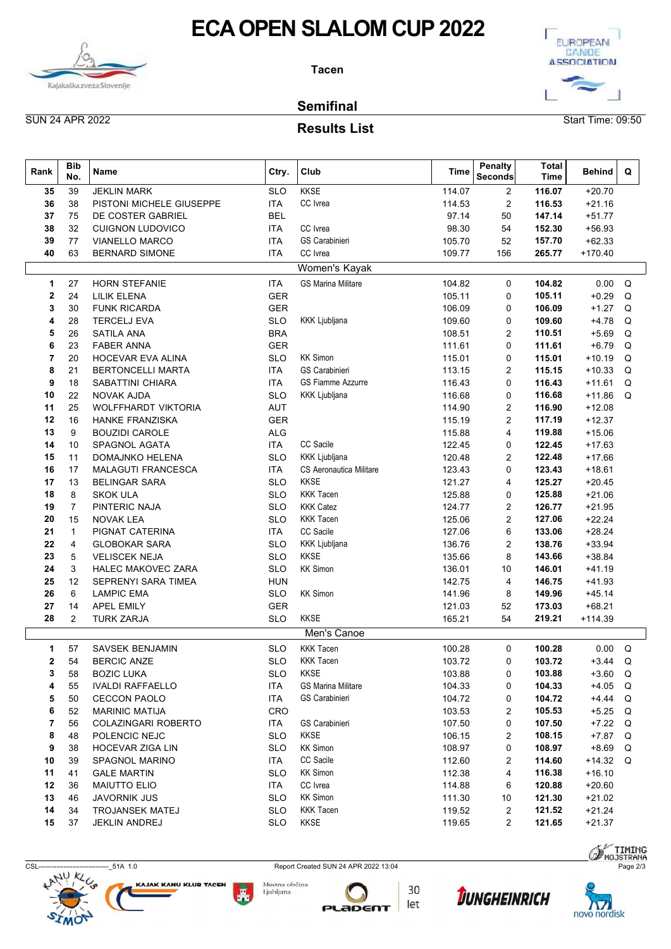



### Results List

|                        | <b>ECA OPEN SLALOM CUP 2022</b><br><b>Tacen</b><br>Kajakaška zveza Slovenije |                                                  |                                     |                                          |                   |                           |                      |                          |  |  |  |  |  |  |
|------------------------|------------------------------------------------------------------------------|--------------------------------------------------|-------------------------------------|------------------------------------------|-------------------|---------------------------|----------------------|--------------------------|--|--|--|--|--|--|
| <b>SUN 24 APR 2022</b> |                                                                              |                                                  |                                     | <b>Semifinal</b><br><b>Results List</b>  | Start Time: 09:50 |                           |                      |                          |  |  |  |  |  |  |
| Rank                   | Bib<br>No.                                                                   | Name                                             | Ctry.                               | Club                                     | <b>Time</b>       | <b>Penalty</b><br>Seconds | <b>Total</b><br>Time | <b>Behind</b><br>Q       |  |  |  |  |  |  |
| 35                     | 39                                                                           | <b>JEKLIN MARK</b>                               | <b>SLO</b>                          | <b>KKSE</b>                              | 114.07            | 2                         | 116.07               | $+20.70$                 |  |  |  |  |  |  |
| 36                     | 38                                                                           | PISTONI MICHELE GIUSEPPE                         | <b>ITA</b>                          | CC Ivrea                                 | 114.53            | 2                         | 116.53               | $+21.16$                 |  |  |  |  |  |  |
| 37                     | 75                                                                           | DE COSTER GABRIEL                                | <b>BEL</b>                          |                                          | 97.14             | 50                        | 147.14               | $+51.77$                 |  |  |  |  |  |  |
| 38<br>39               | 32<br>77                                                                     | <b>CUIGNON LUDOVICO</b><br><b>VIANELLO MARCO</b> | <b>ITA</b><br><b>ITA</b>            | CC Ivrea<br>GS Carabinieri               | 98.30<br>105.70   | 54<br>52                  | 152.30<br>157.70     | $+56.93$<br>$+62.33$     |  |  |  |  |  |  |
| 40                     | 63                                                                           | <b>BERNARD SIMONE</b>                            | <b>ITA</b>                          | CC Ivrea                                 | 109.77            | 156                       | 265.77               | $+170.40$                |  |  |  |  |  |  |
|                        |                                                                              |                                                  |                                     | Women's Kayak                            |                   |                           |                      |                          |  |  |  |  |  |  |
| 1.                     | 27                                                                           | <b>HORN STEFANIE</b>                             | <b>ITA</b>                          | <b>GS Marina Militare</b>                | 104.82            | 0                         | 104.82               | $0.00 \quad Q$           |  |  |  |  |  |  |
| 2                      | 24                                                                           | <b>LILIK ELENA</b>                               | GER                                 |                                          | 105.11            | 0                         | 105.11               | $+0.29$ Q                |  |  |  |  |  |  |
| 3                      | 30                                                                           | <b>FUNK RICARDA</b>                              | <b>GER</b>                          |                                          | 106.09            | 0                         | 106.09               | $+1.27$ Q                |  |  |  |  |  |  |
| 4                      | 28                                                                           | <b>TERCELJ EVA</b>                               | <b>SLO</b>                          | KKK Ljubljana                            | 109.60            | 0                         | 109.60               | $+4.78$ Q                |  |  |  |  |  |  |
| 5                      | 26                                                                           | <b>SATILA ANA</b>                                | <b>BRA</b>                          |                                          | 108.51            | 2                         | 110.51               | $+5.69$ Q                |  |  |  |  |  |  |
|                        | 23                                                                           | <b>FABER ANNA</b>                                | <b>GER</b>                          |                                          | 111.61            | 0                         | 111.61               | $+6.79$ Q                |  |  |  |  |  |  |
|                        | 20                                                                           | HOCEVAR EVA ALINA                                | <b>SLO</b>                          | <b>KK Simon</b>                          | 115.01            | $\Omega$                  | 115.01               | $+10.19$ Q               |  |  |  |  |  |  |
| 8                      | 21                                                                           | <b>BERTONCELLI MARTA</b>                         | ITA                                 | GS Carabinieri                           | 113.15            | 2                         | 115.15               | $+10.33$ Q               |  |  |  |  |  |  |
| 9<br>10                | 18<br>22                                                                     | SABATTINI CHIARA<br><b>NOVAK AJDA</b>            | <b>ITA</b><br><b>SLO</b>            | GS Fiamme Azzurre<br>KKK Ljubljana       | 116.43<br>116.68  | 0<br>0                    | 116.43<br>116.68     | $+11.61$ Q<br>$+11.86$ Q |  |  |  |  |  |  |
| 11                     | 25                                                                           | WOLFFHARDT VIKTORIA                              | AUT                                 |                                          | 114.90            | 2                         | 116.90               | $+12.08$                 |  |  |  |  |  |  |
| 12                     | 16                                                                           | HANKE FRANZISKA                                  | GER                                 |                                          | 115.19            | 2                         | 117.19               | $+12.37$                 |  |  |  |  |  |  |
| 13                     | 9                                                                            | <b>BOUZIDI CAROLE</b>                            | ALG                                 |                                          | 115.88            | 4                         | 119.88               | $+15.06$                 |  |  |  |  |  |  |
| 14                     | 10                                                                           | SPAGNOL AGATA                                    | <b>ITA</b>                          | CC Sacile                                | 122.45            | 0                         | 122.45               | $+17.63$                 |  |  |  |  |  |  |
| 15                     | 11                                                                           | <b>DOMAJNKO HELENA</b>                           | <b>SLO</b>                          | <b>KKK Ljubljana</b>                     | 120.48            | 2                         | 122.48               | $+17.66$                 |  |  |  |  |  |  |
| 16                     | 17                                                                           | MALAGUTI FRANCESCA                               | <b>ITA</b>                          | CS Aeronautica Militare                  | 123.43            | 0                         | 123.43               | $+18.61$                 |  |  |  |  |  |  |
| 17<br>18               | 13<br>8                                                                      | <b>BELINGAR SARA</b><br><b>SKOK ULA</b>          | <b>SLO</b><br><b>SLO</b>            | <b>KKSE</b><br><b>KKK Tacen</b>          | 121.27<br>125.88  | 4<br>0                    | 125.27<br>125.88     | $+20.45$<br>$+21.06$     |  |  |  |  |  |  |
| 19                     | 7                                                                            | PINTERIC NAJA                                    | <b>SLO</b>                          | <b>KKK Catez</b>                         | 124.77            | 2                         | 126.77               | $+21.95$                 |  |  |  |  |  |  |
| 20                     | 15                                                                           | <b>NOVAK LEA</b>                                 | <b>SLO</b>                          | <b>KKK Tacen</b>                         | 125.06            | 2                         | 127.06               | $+22.24$                 |  |  |  |  |  |  |
| 21                     | -1                                                                           | PIGNAT CATERINA                                  | <b>ITA</b>                          | CC Sacile                                | 127.06            | 6                         | 133.06               | $+28.24$                 |  |  |  |  |  |  |
| 22                     | $\overline{4}$                                                               | <b>GLOBOKAR SARA</b>                             | <b>SLO</b>                          | KKK Ljubljana                            | 136.76            | 2                         | 138.76               | $+33.94$                 |  |  |  |  |  |  |
| 23                     | 5                                                                            | <b>VELISCEK NEJA</b>                             | <b>SLO</b>                          | <b>KKSE</b>                              | 135.66            | 8                         | 143.66               | $+38.84$                 |  |  |  |  |  |  |
| 24                     | 3                                                                            | <b>HALEC MAKOVEC ZARA</b>                        | <b>SLO</b>                          | <b>KK Simon</b>                          | 136.01            | 10                        | 146.01               | $+41.19$                 |  |  |  |  |  |  |
| 25                     | 12                                                                           | SEPRENYI SARA TIMEA                              | <b>HUN</b>                          |                                          | 142.75            | 4                         | 146.75               | $+41.93$                 |  |  |  |  |  |  |
| 26                     | 6                                                                            | <b>LAMPIC EMA</b>                                | SLO                                 | <b>KK Simon</b>                          | 141.96            | 8                         | 149.96               | $+45.14$                 |  |  |  |  |  |  |
| 27<br>28               | 14<br>2                                                                      | <b>APEL EMILY</b><br><b>TURK ZARJA</b>           | <b>GER</b><br><b>SLO</b>            | <b>KKSE</b>                              | 121.03<br>165.21  | 52<br>54                  | 173.03<br>219.21     | $+68.21$<br>$+114.39$    |  |  |  |  |  |  |
|                        |                                                                              |                                                  |                                     |                                          |                   |                           |                      |                          |  |  |  |  |  |  |
|                        |                                                                              |                                                  |                                     | Men's Canoe                              |                   |                           |                      |                          |  |  |  |  |  |  |
| $\mathbf 1$            | 57                                                                           | SAVSEK BENJAMIN                                  | <b>SLO</b>                          | <b>KKK Tacen</b>                         | 100.28            | 0                         | 100.28               | $0.00 \quad Q$           |  |  |  |  |  |  |
| $\mathbf{2}$           | 54                                                                           | <b>BERCIC ANZE</b>                               | <b>SLO</b>                          | <b>KKK Tacen</b>                         | 103.72            | 0                         | 103.72               | $+3.44$ Q                |  |  |  |  |  |  |
| 3<br>4                 | 58<br>55                                                                     | <b>BOZIC LUKA</b><br><b>IVALDI RAFFAELLO</b>     | <b>SLO</b><br><b>ITA</b>            | <b>KKSE</b><br><b>GS Marina Militare</b> | 103.88<br>104.33  | 0<br>0                    | 103.88<br>104.33     | $+3.60$ Q<br>$+4.05$ Q   |  |  |  |  |  |  |
| 5                      | 50                                                                           | <b>CECCON PAOLO</b>                              | <b>ITA</b>                          | GS Carabinieri                           | 104.72            | 0                         | 104.72               | $+4.44$ Q                |  |  |  |  |  |  |
| 6                      | 52                                                                           | <b>MARINIC MATIJA</b>                            | CRO                                 |                                          | 103.53            | 2                         | 105.53               | $+5.25$ Q                |  |  |  |  |  |  |
| 7                      | 56                                                                           | COLAZINGARI ROBERTO                              | <b>ITA</b>                          | GS Carabinieri                           | 107.50            | 0                         | 107.50               | $+7.22$ Q                |  |  |  |  |  |  |
| 8                      | 48                                                                           | POLENCIC NEJC                                    | <b>SLO</b>                          | KKSE                                     | 106.15            | 2                         | 108.15               | +7.87 Q                  |  |  |  |  |  |  |
| 9                      | 38                                                                           | HOCEVAR ZIGA LIN                                 | <b>SLO</b>                          | <b>KK Simon</b>                          | 108.97            | 0                         | 108.97               | +8.69 Q                  |  |  |  |  |  |  |
| 10                     | 39                                                                           | SPAGNOL MARINO                                   | <b>ITA</b>                          | CC Sacile                                | 112.60            | 2                         | 114.60               | $+14.32$ Q               |  |  |  |  |  |  |
| 11                     | 41                                                                           | <b>GALE MARTIN</b>                               | <b>SLO</b>                          | <b>KK Simon</b>                          | 112.38            | 4                         | 116.38               | $+16.10$                 |  |  |  |  |  |  |
| 12                     | 36                                                                           | <b>MAIUTTO ELIO</b>                              | <b>ITA</b>                          | CC Ivrea                                 | 114.88            | 6                         | 120.88               | $+20.60$                 |  |  |  |  |  |  |
| 13                     | 46                                                                           | <b>JAVORNIK JUS</b>                              | <b>SLO</b>                          | <b>KK Simon</b>                          | 111.30            | 10                        | 121.30               | $+21.02$                 |  |  |  |  |  |  |
| 14                     | 34                                                                           | <b>TROJANSEK MATEJ</b>                           | <b>SLO</b>                          | <b>KKK Tacen</b>                         | 119.52            | 2                         | 121.52               | $+21.24$                 |  |  |  |  |  |  |
| 15                     | 37                                                                           | <b>JEKLIN ANDREJ</b>                             | <b>SLO</b>                          | <b>KKSE</b>                              | 119.65            | $\overline{2}$            | 121.65               | $+21.37$                 |  |  |  |  |  |  |
|                        |                                                                              |                                                  |                                     |                                          |                   |                           |                      | <b>SA TIMING</b>         |  |  |  |  |  |  |
| <b>CSL---</b>          |                                                                              | -------- 51A 1.0                                 |                                     | Report Created SUN 24 APR 2022 13:04     |                   |                           |                      | Page 2/3                 |  |  |  |  |  |  |
|                        | <b>HANY KLUB</b>                                                             |                                                  | Mestna občina                       |                                          |                   |                           |                      | $\mathbf{O}$             |  |  |  |  |  |  |
|                        |                                                                              | <b>KAJAK KANU KLUB TACEN</b>                     | <b>Alian Andrew Andre</b> Ljubljana | $\bigcap$ 30                             |                   | Turnermunicu              |                      |                          |  |  |  |  |  |  |









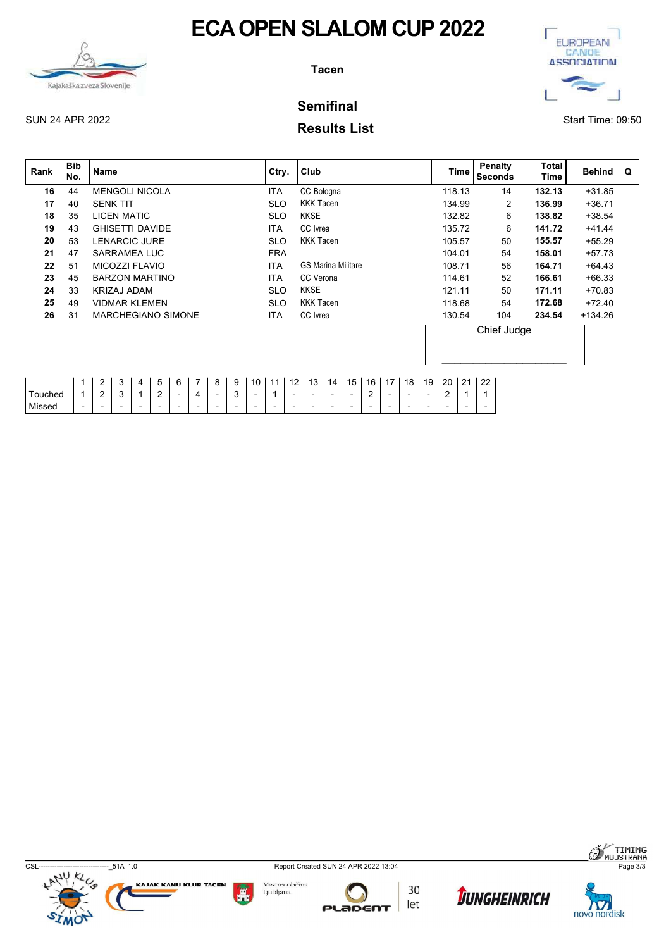



### Semifinal

### Results List

|                        |                                           |                                                                                                     |                            | <b>ECA OPEN SLALOM CUP 2022</b>                          |                  |                     |                             | <b>EUROPEAN</b>             |
|------------------------|-------------------------------------------|-----------------------------------------------------------------------------------------------------|----------------------------|----------------------------------------------------------|------------------|---------------------|-----------------------------|-----------------------------|
|                        |                                           |                                                                                                     |                            | <b>Tacen</b>                                             |                  |                     |                             | CANDE<br><b>ASSOCIATION</b> |
|                        |                                           | Kajakaška zveza Slovenije                                                                           |                            | <b>Semifinal</b>                                         |                  |                     |                             |                             |
| <b>SUN 24 APR 2022</b> |                                           |                                                                                                     |                            | <b>Results List</b>                                      |                  |                     |                             | Start Time: 09:50           |
| Rank                   | <b>Bib</b><br>No.                         | Name                                                                                                | Ctry.                      | Club                                                     | <b>Time</b>      | Penalty<br>Seconds  | <b>Total</b><br><b>Time</b> | Behind<br>$\mathbf Q$       |
| 16                     | 44                                        | <b>MENGOLI NICOLA</b>                                                                               | <b>ITA</b>                 | CC Bologna                                               | 118.13           | 14                  | 132.13                      | $+31.85$                    |
| 17<br>18               | 40<br>35                                  | <b>SENK TIT</b><br><b>LICEN MATIC</b>                                                               | <b>SLO</b><br><b>SLO</b>   | <b>KKK Tacen</b><br><b>KKSE</b>                          | 134.99<br>132.82 | $\overline{2}$<br>6 | 136.99<br>138.82            | $+36.71$<br>$+38.54$        |
| 19                     | 43                                        | <b>GHISETTI DAVIDE</b>                                                                              | <b>ITA</b>                 | CC Ivrea                                                 | 135.72           | 6                   | 141.72                      | $+41.44$                    |
| 20                     | 53                                        | LENARCIC JURE                                                                                       | <b>SLO</b>                 | <b>KKK Tacen</b>                                         | 105.57           | 50                  | 155.57                      | $+55.29$                    |
| 21                     | 47                                        | SARRAMEA LUC                                                                                        | <b>FRA</b>                 |                                                          | 104.01           | 54                  | 158.01                      | $+57.73$                    |
| 22                     | 51                                        | MICOZZI FLAVIO                                                                                      | <b>ITA</b>                 | <b>GS Marina Militare</b>                                | 108.71           | 56                  | 164.71                      | $+64.43$                    |
| 23<br>24               | 45<br>33                                  | <b>BARZON MARTINO</b>                                                                               | <b>ITA</b><br><b>SLO</b>   | CC Verona<br><b>KKSE</b>                                 | 114.61<br>121.11 | 52<br>50            | 166.61<br>171.11            | $+66.33$                    |
| 25                     | 49                                        | <b>KRIZAJ ADAM</b><br><b>VIDMAR KLEMEN</b>                                                          | <b>SLO</b>                 | <b>KKK Tacen</b>                                         | 118.68           | 54                  | 172.68                      | $+70.83$<br>$+72.40$        |
| 26                     | 31                                        | MARCHEGIANO SIMONE                                                                                  | <b>ITA</b>                 | CC Ivrea                                                 | 130.54           | 104                 | 234.54                      | $+134.26$                   |
|                        |                                           |                                                                                                     |                            |                                                          |                  | Chief Judge         |                             |                             |
|                        |                                           |                                                                                                     |                            |                                                          |                  |                     |                             |                             |
|                        |                                           |                                                                                                     |                            |                                                          |                  |                     |                             |                             |
| Touched                | $\begin{array}{c c}\n1 \\ 1\n\end{array}$ | $\begin{array}{ c c c c c }\n\hline\n2 & 3 & 4 \\ \hline\n2 & 3 & 1\n\end{array}$<br>$\overline{4}$ |                            |                                                          |                  |                     |                             |                             |
| Missed                 | $\sim$                                    | $\sim$<br>$\sim$<br>$\sim$<br>$\sim$<br>$\sim$<br>$\sim$<br>$\sim$                                  | $\sim$<br>$\sim$<br>$\sim$ | $\sim$<br>$\sim$<br>$\sim$<br>$\sim$<br>$\sim$<br>$\sim$ |                  |                     |                             |                             |

|        |                          | -      | $\sim$                   |                          | ∽                        | G                        |                          |                | a                        | 10<br>U                  | $\overline{A}$ | $\overline{A}$<br>. .    | $\sqrt{2}$<br>ں ،        | 14                       | 15 | 16     | $\lambda$ $-$            | 18                       | 19                       | 20             | $\mathbf{a}$<br><u>_</u> | 22 |
|--------|--------------------------|--------|--------------------------|--------------------------|--------------------------|--------------------------|--------------------------|----------------|--------------------------|--------------------------|----------------|--------------------------|--------------------------|--------------------------|----|--------|--------------------------|--------------------------|--------------------------|----------------|--------------------------|----|
| ouched |                          | ∽<br>- | $\overline{\phantom{0}}$ |                          | $\sim$<br>-<br>—         | $\overline{\phantom{a}}$ |                          |                | $\sim$                   | $\overline{\phantom{0}}$ |                | $\overline{\phantom{0}}$ | $\overline{\phantom{0}}$ | $\overline{\phantom{0}}$ | -  | Ð<br>- | $\overline{\phantom{0}}$ | $\overline{\phantom{0}}$ | $\overline{\phantom{0}}$ | ⌒<br>-         |                          |    |
| Missec | $\overline{\phantom{0}}$ | -      | $\overline{\phantom{0}}$ | $\overline{\phantom{0}}$ | $\overline{\phantom{0}}$ | $\sim$                   | $\overline{\phantom{a}}$ | $\blacksquare$ | $\overline{\phantom{0}}$ | $\overline{\phantom{0}}$ | -              | $\overline{\phantom{0}}$ | $\overline{\phantom{0}}$ | $\overline{\phantom{0}}$ | -  |        | $\overline{\phantom{0}}$ | $\overline{\phantom{0}}$ | $\overline{\phantom{0}}$ | $\blacksquare$ | $\overline{\phantom{0}}$ | -  |



KAJAK KANU KLUB TACEN

Ã







**SA TIMING**<br>I MOJSTRANA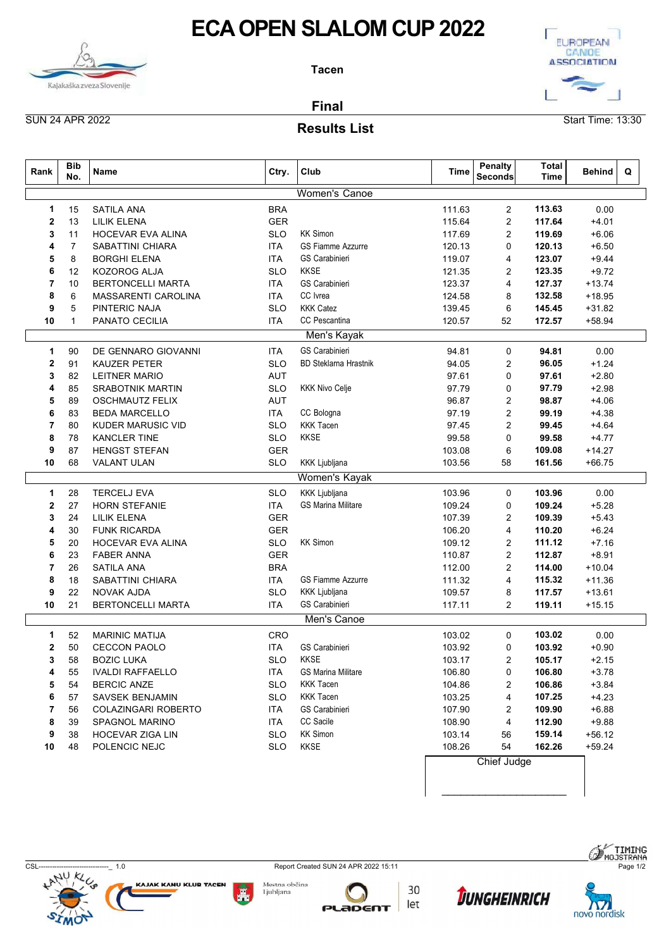



### Results List

| <b>SUN 24 APR 2022</b><br>Start Time: 13:30<br><b>Results List</b><br><b>Bib</b><br><b>Penalty</b><br><b>Total</b><br>Rank<br>Club<br>Ctry.<br>Time<br><b>Behind</b><br>Q<br>Name<br>No.<br><b>Seconds</b><br>Time<br>Women's Canoe<br><b>SATILA ANA</b><br><b>BRA</b><br>111.63<br>113.63<br>0.00<br>15<br>2<br><b>GER</b><br><b>LILIK ELENA</b><br>115.64<br>117.64<br>$+4.01$<br>13<br>2<br>2<br><b>KK Simon</b><br>HOCEVAR EVA ALINA<br><b>SLO</b><br>117.69<br>2<br>119.69<br>$+6.06$<br>11<br>3<br><b>SABATTINI CHIARA</b><br><b>GS Fiamme Azzurre</b><br>120.13<br>$+6.50$<br>$\overline{7}$<br><b>ITA</b><br>$\Omega$<br>120.13<br><b>BORGHI ELENA</b><br><b>GS Carabinieri</b><br>119.07<br>123.07<br>$+9.44$<br>5<br>8<br><b>ITA</b><br>4<br><b>KKSE</b><br>KOZOROG ALJA<br><b>SLO</b><br>121.35<br>$+9.72$<br>12<br>2<br>123.35<br>6<br><b>BERTONCELLI MARTA</b><br><b>GS Carabinieri</b><br>10<br><b>ITA</b><br>123.37<br>127.37<br>$+13.74$<br>7<br>4<br>CC Ivrea<br>8<br>6<br>MASSARENTI CAROLINA<br>124.58<br>132.58<br>$+18.95$<br><b>ITA</b><br>8<br><b>KKK Catez</b><br>5<br>PINTERIC NAJA<br>9<br><b>SLO</b><br>139.45<br>6<br>145.45<br>$+31.82$<br>CC Pescantina<br>52<br>172.57<br>$+58.94$<br>10<br>$\overline{\mathbf{1}}$<br>PANATO CECILIA<br><b>ITA</b><br>120.57<br>Men's Kayak<br>DE GENNARO GIOVANNI<br><b>ITA</b><br><b>GS Carabinieri</b><br>0.00<br>90<br>94.81<br>94.81<br>0<br>KAUZER PETER<br><b>SLO</b><br><b>BD Steklarna Hrastnik</b><br>94.05<br>96.05<br>$+1.24$<br>2<br>91<br>2<br>3<br>97.61<br><b>LEITNER MARIO</b><br><b>AUT</b><br>$\Omega$<br>82<br>97.61<br>$+2.80$<br><b>KKK Nivo Celje</b><br>SRABOTNIK MARTIN<br>SLO<br>97.79<br>97.79<br>$+2.98$<br>85<br>0<br>4<br><b>AUT</b><br>98.87<br>$+4.06$<br>5<br>89<br><b>OSCHMAUTZ FELIX</b><br>96.87<br>$\overline{2}$<br>CC Bologna<br>99.19<br><b>BEDA MARCELLO</b><br><b>ITA</b><br>97.19<br>$\overline{2}$<br>$+4.38$<br>6<br>83<br><b>KKK Tacen</b><br><b>SLO</b><br>97.45<br>$\overline{2}$<br>$+4.64$<br>7<br>80<br>KUDER MARUSIC VID<br>99.45<br>KKSE<br><b>SLO</b><br>99.58<br>$+4.77$<br>8<br>78<br>KANCLER TINE<br>99.58<br>0<br>87<br>GER<br>6<br>109.08<br>9<br>HENGST STEFAN<br>103.08<br>$+14.27$<br>68<br>VALANT ULAN<br>SLO<br>KKK Ljubljana<br>103.56<br>58<br>161.56<br>$+66.75$<br>10<br><b>Women's Kayak</b><br>KKK Ljubljana<br>0.00<br><b>TERCELJ EVA</b><br><b>SLO</b><br>103.96<br>$\mathbf 0$<br>103.96<br>$\mathbf{1}$<br>28<br><b>GS Marina Militare</b><br>$+5.28$<br>$\mathbf{2}$<br>27<br>HORN STEFANIE<br><b>ITA</b><br>109.24<br>$\mathbf 0$<br>109.24<br>GER<br>107.39<br>109.39<br>$+5.43$<br>3<br>24<br><b>LILIK ELENA</b><br>$\overline{\mathbf{c}}$<br><b>GER</b><br><b>FUNK RICARDA</b><br>106.20<br>110.20<br>$+6.24$<br>30<br>4<br>4<br>SLO<br><b>KK Simon</b><br>HOCEVAR EVA ALINA<br>109.12<br>$\overline{2}$<br>111.12<br>$+7.16$<br>5<br>20<br><b>GER</b><br>112.87<br>6<br><b>FABER ANNA</b><br>110.87<br>$+8.91$<br>23<br>$\overline{2}$<br>SATILA ANA<br><b>BRA</b><br>112.00<br>114.00<br>$+10.04$<br>7<br>26<br>2<br>18<br>GS Fiamme Azzurre<br>115.32<br>8<br>SABATTINI CHIARA<br>ITA<br>111.32<br>4<br>$+11.36$<br><b>KKK Ljubljana</b><br>22<br>NOVAK AJDA<br><b>SLO</b><br>109.57<br>8<br>117.57<br>$+13.61$<br>9<br>GS Carabinieri<br>21<br>BERTONCELLI MARTA<br><b>ITA</b><br>117.11<br>$\overline{2}$<br>119.11<br>10<br>$+15.15$<br>Men's Canoe<br>CRO<br><b>MARINIC MATIJA</b><br>103.02<br>103.02<br>0.00<br>52<br>0<br>$\mathbf 1$<br>103.92<br>$+0.90$<br>50<br><b>CECCON PAOLO</b><br><b>ITA</b><br>GS Carabinieri<br>0<br>103.92<br>$\mathbf{2}$<br>KKSE<br><b>BOZIC LUKA</b><br><b>SLO</b><br>103.17<br>105.17<br>$+2.15$<br>3<br>58<br>$\overline{2}$<br><b>GS Marina Militare</b><br><b>IVALDI RAFFAELLO</b><br><b>ITA</b><br>106.80<br>$\mathbf 0$<br>106.80<br>$+3.78$<br>55<br>4<br><b>KKK Tacen</b><br><b>BERCIC ANZE</b><br>106.86<br>$+3.84$<br>5<br>54<br><b>SLO</b><br>104.86<br>$\overline{2}$<br><b>KKK Tacen</b><br>107.25<br>6<br>SAVSEK BENJAMIN<br><b>SLO</b><br>103.25<br>$+4.23$<br>57<br>4<br>GS Carabinieri<br>COLAZINGARI ROBERTO<br>107.90<br>109.90<br>$+6.88$<br>7<br>56<br>ITA<br>$\overline{2}$<br>CC Sacile<br>$+9.88$<br>8<br>39<br>SPAGNOL MARINO<br><b>ITA</b><br>108.90<br>4<br>112.90<br><b>KK Simon</b><br>159.14<br>9<br>38<br>HOCEVAR ZIGA LIN<br><b>SLO</b><br>103.14<br>56<br>$+56.12$<br>KKSE<br>54<br>POLENCIC NEJC<br><b>SLO</b><br>108.26<br>162.26<br>10<br>48<br>$+59.24$<br>Chief Judge |  | Kajakaška zveza Slovenije | <b>ECA OPEN SLALOM CUP 2022</b><br><b>Tacen</b><br><b>Final</b> | EUROPEAN<br>CANOE<br><b>ASSOCIATION</b> |  |  |  |  |  |  |  |  |  |
|------------------------------------------------------------------------------------------------------------------------------------------------------------------------------------------------------------------------------------------------------------------------------------------------------------------------------------------------------------------------------------------------------------------------------------------------------------------------------------------------------------------------------------------------------------------------------------------------------------------------------------------------------------------------------------------------------------------------------------------------------------------------------------------------------------------------------------------------------------------------------------------------------------------------------------------------------------------------------------------------------------------------------------------------------------------------------------------------------------------------------------------------------------------------------------------------------------------------------------------------------------------------------------------------------------------------------------------------------------------------------------------------------------------------------------------------------------------------------------------------------------------------------------------------------------------------------------------------------------------------------------------------------------------------------------------------------------------------------------------------------------------------------------------------------------------------------------------------------------------------------------------------------------------------------------------------------------------------------------------------------------------------------------------------------------------------------------------------------------------------------------------------------------------------------------------------------------------------------------------------------------------------------------------------------------------------------------------------------------------------------------------------------------------------------------------------------------------------------------------------------------------------------------------------------------------------------------------------------------------------------------------------------------------------------------------------------------------------------------------------------------------------------------------------------------------------------------------------------------------------------------------------------------------------------------------------------------------------------------------------------------------------------------------------------------------------------------------------------------------------------------------------------------------------------------------------------------------------------------------------------------------------------------------------------------------------------------------------------------------------------------------------------------------------------------------------------------------------------------------------------------------------------------------------------------------------------------------------------------------------------------------------------------------------------------------------------------------------------------------------------------------------------------------------------------------------------------------------------------------------------------------------------------------------------------------------------------------------------------------------------------------------------------------------------------------------------------------------------------------------------------------------------------------------------------------------------------------------------------------------------------------------------------------------------------------------------------------------------------------------------------------------------------------------------------------------------------------------------------------------------|--|---------------------------|-----------------------------------------------------------------|-----------------------------------------|--|--|--|--|--|--|--|--|--|
|                                                                                                                                                                                                                                                                                                                                                                                                                                                                                                                                                                                                                                                                                                                                                                                                                                                                                                                                                                                                                                                                                                                                                                                                                                                                                                                                                                                                                                                                                                                                                                                                                                                                                                                                                                                                                                                                                                                                                                                                                                                                                                                                                                                                                                                                                                                                                                                                                                                                                                                                                                                                                                                                                                                                                                                                                                                                                                                                                                                                                                                                                                                                                                                                                                                                                                                                                                                                                                                                                                                                                                                                                                                                                                                                                                                                                                                                                                                                                                                                                                                                                                                                                                                                                                                                                                                                                                                                                                                                                                      |  |                           |                                                                 |                                         |  |  |  |  |  |  |  |  |  |
|                                                                                                                                                                                                                                                                                                                                                                                                                                                                                                                                                                                                                                                                                                                                                                                                                                                                                                                                                                                                                                                                                                                                                                                                                                                                                                                                                                                                                                                                                                                                                                                                                                                                                                                                                                                                                                                                                                                                                                                                                                                                                                                                                                                                                                                                                                                                                                                                                                                                                                                                                                                                                                                                                                                                                                                                                                                                                                                                                                                                                                                                                                                                                                                                                                                                                                                                                                                                                                                                                                                                                                                                                                                                                                                                                                                                                                                                                                                                                                                                                                                                                                                                                                                                                                                                                                                                                                                                                                                                                                      |  |                           |                                                                 |                                         |  |  |  |  |  |  |  |  |  |
|                                                                                                                                                                                                                                                                                                                                                                                                                                                                                                                                                                                                                                                                                                                                                                                                                                                                                                                                                                                                                                                                                                                                                                                                                                                                                                                                                                                                                                                                                                                                                                                                                                                                                                                                                                                                                                                                                                                                                                                                                                                                                                                                                                                                                                                                                                                                                                                                                                                                                                                                                                                                                                                                                                                                                                                                                                                                                                                                                                                                                                                                                                                                                                                                                                                                                                                                                                                                                                                                                                                                                                                                                                                                                                                                                                                                                                                                                                                                                                                                                                                                                                                                                                                                                                                                                                                                                                                                                                                                                                      |  |                           |                                                                 |                                         |  |  |  |  |  |  |  |  |  |
|                                                                                                                                                                                                                                                                                                                                                                                                                                                                                                                                                                                                                                                                                                                                                                                                                                                                                                                                                                                                                                                                                                                                                                                                                                                                                                                                                                                                                                                                                                                                                                                                                                                                                                                                                                                                                                                                                                                                                                                                                                                                                                                                                                                                                                                                                                                                                                                                                                                                                                                                                                                                                                                                                                                                                                                                                                                                                                                                                                                                                                                                                                                                                                                                                                                                                                                                                                                                                                                                                                                                                                                                                                                                                                                                                                                                                                                                                                                                                                                                                                                                                                                                                                                                                                                                                                                                                                                                                                                                                                      |  |                           |                                                                 |                                         |  |  |  |  |  |  |  |  |  |
|                                                                                                                                                                                                                                                                                                                                                                                                                                                                                                                                                                                                                                                                                                                                                                                                                                                                                                                                                                                                                                                                                                                                                                                                                                                                                                                                                                                                                                                                                                                                                                                                                                                                                                                                                                                                                                                                                                                                                                                                                                                                                                                                                                                                                                                                                                                                                                                                                                                                                                                                                                                                                                                                                                                                                                                                                                                                                                                                                                                                                                                                                                                                                                                                                                                                                                                                                                                                                                                                                                                                                                                                                                                                                                                                                                                                                                                                                                                                                                                                                                                                                                                                                                                                                                                                                                                                                                                                                                                                                                      |  |                           |                                                                 |                                         |  |  |  |  |  |  |  |  |  |
|                                                                                                                                                                                                                                                                                                                                                                                                                                                                                                                                                                                                                                                                                                                                                                                                                                                                                                                                                                                                                                                                                                                                                                                                                                                                                                                                                                                                                                                                                                                                                                                                                                                                                                                                                                                                                                                                                                                                                                                                                                                                                                                                                                                                                                                                                                                                                                                                                                                                                                                                                                                                                                                                                                                                                                                                                                                                                                                                                                                                                                                                                                                                                                                                                                                                                                                                                                                                                                                                                                                                                                                                                                                                                                                                                                                                                                                                                                                                                                                                                                                                                                                                                                                                                                                                                                                                                                                                                                                                                                      |  |                           |                                                                 |                                         |  |  |  |  |  |  |  |  |  |
|                                                                                                                                                                                                                                                                                                                                                                                                                                                                                                                                                                                                                                                                                                                                                                                                                                                                                                                                                                                                                                                                                                                                                                                                                                                                                                                                                                                                                                                                                                                                                                                                                                                                                                                                                                                                                                                                                                                                                                                                                                                                                                                                                                                                                                                                                                                                                                                                                                                                                                                                                                                                                                                                                                                                                                                                                                                                                                                                                                                                                                                                                                                                                                                                                                                                                                                                                                                                                                                                                                                                                                                                                                                                                                                                                                                                                                                                                                                                                                                                                                                                                                                                                                                                                                                                                                                                                                                                                                                                                                      |  |                           |                                                                 |                                         |  |  |  |  |  |  |  |  |  |
|                                                                                                                                                                                                                                                                                                                                                                                                                                                                                                                                                                                                                                                                                                                                                                                                                                                                                                                                                                                                                                                                                                                                                                                                                                                                                                                                                                                                                                                                                                                                                                                                                                                                                                                                                                                                                                                                                                                                                                                                                                                                                                                                                                                                                                                                                                                                                                                                                                                                                                                                                                                                                                                                                                                                                                                                                                                                                                                                                                                                                                                                                                                                                                                                                                                                                                                                                                                                                                                                                                                                                                                                                                                                                                                                                                                                                                                                                                                                                                                                                                                                                                                                                                                                                                                                                                                                                                                                                                                                                                      |  |                           |                                                                 |                                         |  |  |  |  |  |  |  |  |  |
|                                                                                                                                                                                                                                                                                                                                                                                                                                                                                                                                                                                                                                                                                                                                                                                                                                                                                                                                                                                                                                                                                                                                                                                                                                                                                                                                                                                                                                                                                                                                                                                                                                                                                                                                                                                                                                                                                                                                                                                                                                                                                                                                                                                                                                                                                                                                                                                                                                                                                                                                                                                                                                                                                                                                                                                                                                                                                                                                                                                                                                                                                                                                                                                                                                                                                                                                                                                                                                                                                                                                                                                                                                                                                                                                                                                                                                                                                                                                                                                                                                                                                                                                                                                                                                                                                                                                                                                                                                                                                                      |  |                           |                                                                 |                                         |  |  |  |  |  |  |  |  |  |
|                                                                                                                                                                                                                                                                                                                                                                                                                                                                                                                                                                                                                                                                                                                                                                                                                                                                                                                                                                                                                                                                                                                                                                                                                                                                                                                                                                                                                                                                                                                                                                                                                                                                                                                                                                                                                                                                                                                                                                                                                                                                                                                                                                                                                                                                                                                                                                                                                                                                                                                                                                                                                                                                                                                                                                                                                                                                                                                                                                                                                                                                                                                                                                                                                                                                                                                                                                                                                                                                                                                                                                                                                                                                                                                                                                                                                                                                                                                                                                                                                                                                                                                                                                                                                                                                                                                                                                                                                                                                                                      |  |                           |                                                                 |                                         |  |  |  |  |  |  |  |  |  |
|                                                                                                                                                                                                                                                                                                                                                                                                                                                                                                                                                                                                                                                                                                                                                                                                                                                                                                                                                                                                                                                                                                                                                                                                                                                                                                                                                                                                                                                                                                                                                                                                                                                                                                                                                                                                                                                                                                                                                                                                                                                                                                                                                                                                                                                                                                                                                                                                                                                                                                                                                                                                                                                                                                                                                                                                                                                                                                                                                                                                                                                                                                                                                                                                                                                                                                                                                                                                                                                                                                                                                                                                                                                                                                                                                                                                                                                                                                                                                                                                                                                                                                                                                                                                                                                                                                                                                                                                                                                                                                      |  |                           |                                                                 |                                         |  |  |  |  |  |  |  |  |  |
|                                                                                                                                                                                                                                                                                                                                                                                                                                                                                                                                                                                                                                                                                                                                                                                                                                                                                                                                                                                                                                                                                                                                                                                                                                                                                                                                                                                                                                                                                                                                                                                                                                                                                                                                                                                                                                                                                                                                                                                                                                                                                                                                                                                                                                                                                                                                                                                                                                                                                                                                                                                                                                                                                                                                                                                                                                                                                                                                                                                                                                                                                                                                                                                                                                                                                                                                                                                                                                                                                                                                                                                                                                                                                                                                                                                                                                                                                                                                                                                                                                                                                                                                                                                                                                                                                                                                                                                                                                                                                                      |  |                           |                                                                 |                                         |  |  |  |  |  |  |  |  |  |
|                                                                                                                                                                                                                                                                                                                                                                                                                                                                                                                                                                                                                                                                                                                                                                                                                                                                                                                                                                                                                                                                                                                                                                                                                                                                                                                                                                                                                                                                                                                                                                                                                                                                                                                                                                                                                                                                                                                                                                                                                                                                                                                                                                                                                                                                                                                                                                                                                                                                                                                                                                                                                                                                                                                                                                                                                                                                                                                                                                                                                                                                                                                                                                                                                                                                                                                                                                                                                                                                                                                                                                                                                                                                                                                                                                                                                                                                                                                                                                                                                                                                                                                                                                                                                                                                                                                                                                                                                                                                                                      |  |                           |                                                                 |                                         |  |  |  |  |  |  |  |  |  |
|                                                                                                                                                                                                                                                                                                                                                                                                                                                                                                                                                                                                                                                                                                                                                                                                                                                                                                                                                                                                                                                                                                                                                                                                                                                                                                                                                                                                                                                                                                                                                                                                                                                                                                                                                                                                                                                                                                                                                                                                                                                                                                                                                                                                                                                                                                                                                                                                                                                                                                                                                                                                                                                                                                                                                                                                                                                                                                                                                                                                                                                                                                                                                                                                                                                                                                                                                                                                                                                                                                                                                                                                                                                                                                                                                                                                                                                                                                                                                                                                                                                                                                                                                                                                                                                                                                                                                                                                                                                                                                      |  |                           |                                                                 |                                         |  |  |  |  |  |  |  |  |  |
|                                                                                                                                                                                                                                                                                                                                                                                                                                                                                                                                                                                                                                                                                                                                                                                                                                                                                                                                                                                                                                                                                                                                                                                                                                                                                                                                                                                                                                                                                                                                                                                                                                                                                                                                                                                                                                                                                                                                                                                                                                                                                                                                                                                                                                                                                                                                                                                                                                                                                                                                                                                                                                                                                                                                                                                                                                                                                                                                                                                                                                                                                                                                                                                                                                                                                                                                                                                                                                                                                                                                                                                                                                                                                                                                                                                                                                                                                                                                                                                                                                                                                                                                                                                                                                                                                                                                                                                                                                                                                                      |  |                           |                                                                 |                                         |  |  |  |  |  |  |  |  |  |
|                                                                                                                                                                                                                                                                                                                                                                                                                                                                                                                                                                                                                                                                                                                                                                                                                                                                                                                                                                                                                                                                                                                                                                                                                                                                                                                                                                                                                                                                                                                                                                                                                                                                                                                                                                                                                                                                                                                                                                                                                                                                                                                                                                                                                                                                                                                                                                                                                                                                                                                                                                                                                                                                                                                                                                                                                                                                                                                                                                                                                                                                                                                                                                                                                                                                                                                                                                                                                                                                                                                                                                                                                                                                                                                                                                                                                                                                                                                                                                                                                                                                                                                                                                                                                                                                                                                                                                                                                                                                                                      |  |                           |                                                                 |                                         |  |  |  |  |  |  |  |  |  |
|                                                                                                                                                                                                                                                                                                                                                                                                                                                                                                                                                                                                                                                                                                                                                                                                                                                                                                                                                                                                                                                                                                                                                                                                                                                                                                                                                                                                                                                                                                                                                                                                                                                                                                                                                                                                                                                                                                                                                                                                                                                                                                                                                                                                                                                                                                                                                                                                                                                                                                                                                                                                                                                                                                                                                                                                                                                                                                                                                                                                                                                                                                                                                                                                                                                                                                                                                                                                                                                                                                                                                                                                                                                                                                                                                                                                                                                                                                                                                                                                                                                                                                                                                                                                                                                                                                                                                                                                                                                                                                      |  |                           |                                                                 |                                         |  |  |  |  |  |  |  |  |  |
|                                                                                                                                                                                                                                                                                                                                                                                                                                                                                                                                                                                                                                                                                                                                                                                                                                                                                                                                                                                                                                                                                                                                                                                                                                                                                                                                                                                                                                                                                                                                                                                                                                                                                                                                                                                                                                                                                                                                                                                                                                                                                                                                                                                                                                                                                                                                                                                                                                                                                                                                                                                                                                                                                                                                                                                                                                                                                                                                                                                                                                                                                                                                                                                                                                                                                                                                                                                                                                                                                                                                                                                                                                                                                                                                                                                                                                                                                                                                                                                                                                                                                                                                                                                                                                                                                                                                                                                                                                                                                                      |  |                           |                                                                 |                                         |  |  |  |  |  |  |  |  |  |
|                                                                                                                                                                                                                                                                                                                                                                                                                                                                                                                                                                                                                                                                                                                                                                                                                                                                                                                                                                                                                                                                                                                                                                                                                                                                                                                                                                                                                                                                                                                                                                                                                                                                                                                                                                                                                                                                                                                                                                                                                                                                                                                                                                                                                                                                                                                                                                                                                                                                                                                                                                                                                                                                                                                                                                                                                                                                                                                                                                                                                                                                                                                                                                                                                                                                                                                                                                                                                                                                                                                                                                                                                                                                                                                                                                                                                                                                                                                                                                                                                                                                                                                                                                                                                                                                                                                                                                                                                                                                                                      |  |                           |                                                                 |                                         |  |  |  |  |  |  |  |  |  |
|                                                                                                                                                                                                                                                                                                                                                                                                                                                                                                                                                                                                                                                                                                                                                                                                                                                                                                                                                                                                                                                                                                                                                                                                                                                                                                                                                                                                                                                                                                                                                                                                                                                                                                                                                                                                                                                                                                                                                                                                                                                                                                                                                                                                                                                                                                                                                                                                                                                                                                                                                                                                                                                                                                                                                                                                                                                                                                                                                                                                                                                                                                                                                                                                                                                                                                                                                                                                                                                                                                                                                                                                                                                                                                                                                                                                                                                                                                                                                                                                                                                                                                                                                                                                                                                                                                                                                                                                                                                                                                      |  |                           |                                                                 |                                         |  |  |  |  |  |  |  |  |  |
|                                                                                                                                                                                                                                                                                                                                                                                                                                                                                                                                                                                                                                                                                                                                                                                                                                                                                                                                                                                                                                                                                                                                                                                                                                                                                                                                                                                                                                                                                                                                                                                                                                                                                                                                                                                                                                                                                                                                                                                                                                                                                                                                                                                                                                                                                                                                                                                                                                                                                                                                                                                                                                                                                                                                                                                                                                                                                                                                                                                                                                                                                                                                                                                                                                                                                                                                                                                                                                                                                                                                                                                                                                                                                                                                                                                                                                                                                                                                                                                                                                                                                                                                                                                                                                                                                                                                                                                                                                                                                                      |  |                           |                                                                 |                                         |  |  |  |  |  |  |  |  |  |
|                                                                                                                                                                                                                                                                                                                                                                                                                                                                                                                                                                                                                                                                                                                                                                                                                                                                                                                                                                                                                                                                                                                                                                                                                                                                                                                                                                                                                                                                                                                                                                                                                                                                                                                                                                                                                                                                                                                                                                                                                                                                                                                                                                                                                                                                                                                                                                                                                                                                                                                                                                                                                                                                                                                                                                                                                                                                                                                                                                                                                                                                                                                                                                                                                                                                                                                                                                                                                                                                                                                                                                                                                                                                                                                                                                                                                                                                                                                                                                                                                                                                                                                                                                                                                                                                                                                                                                                                                                                                                                      |  |                           |                                                                 |                                         |  |  |  |  |  |  |  |  |  |
|                                                                                                                                                                                                                                                                                                                                                                                                                                                                                                                                                                                                                                                                                                                                                                                                                                                                                                                                                                                                                                                                                                                                                                                                                                                                                                                                                                                                                                                                                                                                                                                                                                                                                                                                                                                                                                                                                                                                                                                                                                                                                                                                                                                                                                                                                                                                                                                                                                                                                                                                                                                                                                                                                                                                                                                                                                                                                                                                                                                                                                                                                                                                                                                                                                                                                                                                                                                                                                                                                                                                                                                                                                                                                                                                                                                                                                                                                                                                                                                                                                                                                                                                                                                                                                                                                                                                                                                                                                                                                                      |  |                           |                                                                 |                                         |  |  |  |  |  |  |  |  |  |
|                                                                                                                                                                                                                                                                                                                                                                                                                                                                                                                                                                                                                                                                                                                                                                                                                                                                                                                                                                                                                                                                                                                                                                                                                                                                                                                                                                                                                                                                                                                                                                                                                                                                                                                                                                                                                                                                                                                                                                                                                                                                                                                                                                                                                                                                                                                                                                                                                                                                                                                                                                                                                                                                                                                                                                                                                                                                                                                                                                                                                                                                                                                                                                                                                                                                                                                                                                                                                                                                                                                                                                                                                                                                                                                                                                                                                                                                                                                                                                                                                                                                                                                                                                                                                                                                                                                                                                                                                                                                                                      |  |                           |                                                                 |                                         |  |  |  |  |  |  |  |  |  |
|                                                                                                                                                                                                                                                                                                                                                                                                                                                                                                                                                                                                                                                                                                                                                                                                                                                                                                                                                                                                                                                                                                                                                                                                                                                                                                                                                                                                                                                                                                                                                                                                                                                                                                                                                                                                                                                                                                                                                                                                                                                                                                                                                                                                                                                                                                                                                                                                                                                                                                                                                                                                                                                                                                                                                                                                                                                                                                                                                                                                                                                                                                                                                                                                                                                                                                                                                                                                                                                                                                                                                                                                                                                                                                                                                                                                                                                                                                                                                                                                                                                                                                                                                                                                                                                                                                                                                                                                                                                                                                      |  |                           |                                                                 |                                         |  |  |  |  |  |  |  |  |  |
|                                                                                                                                                                                                                                                                                                                                                                                                                                                                                                                                                                                                                                                                                                                                                                                                                                                                                                                                                                                                                                                                                                                                                                                                                                                                                                                                                                                                                                                                                                                                                                                                                                                                                                                                                                                                                                                                                                                                                                                                                                                                                                                                                                                                                                                                                                                                                                                                                                                                                                                                                                                                                                                                                                                                                                                                                                                                                                                                                                                                                                                                                                                                                                                                                                                                                                                                                                                                                                                                                                                                                                                                                                                                                                                                                                                                                                                                                                                                                                                                                                                                                                                                                                                                                                                                                                                                                                                                                                                                                                      |  |                           |                                                                 |                                         |  |  |  |  |  |  |  |  |  |
|                                                                                                                                                                                                                                                                                                                                                                                                                                                                                                                                                                                                                                                                                                                                                                                                                                                                                                                                                                                                                                                                                                                                                                                                                                                                                                                                                                                                                                                                                                                                                                                                                                                                                                                                                                                                                                                                                                                                                                                                                                                                                                                                                                                                                                                                                                                                                                                                                                                                                                                                                                                                                                                                                                                                                                                                                                                                                                                                                                                                                                                                                                                                                                                                                                                                                                                                                                                                                                                                                                                                                                                                                                                                                                                                                                                                                                                                                                                                                                                                                                                                                                                                                                                                                                                                                                                                                                                                                                                                                                      |  |                           |                                                                 |                                         |  |  |  |  |  |  |  |  |  |
|                                                                                                                                                                                                                                                                                                                                                                                                                                                                                                                                                                                                                                                                                                                                                                                                                                                                                                                                                                                                                                                                                                                                                                                                                                                                                                                                                                                                                                                                                                                                                                                                                                                                                                                                                                                                                                                                                                                                                                                                                                                                                                                                                                                                                                                                                                                                                                                                                                                                                                                                                                                                                                                                                                                                                                                                                                                                                                                                                                                                                                                                                                                                                                                                                                                                                                                                                                                                                                                                                                                                                                                                                                                                                                                                                                                                                                                                                                                                                                                                                                                                                                                                                                                                                                                                                                                                                                                                                                                                                                      |  |                           |                                                                 |                                         |  |  |  |  |  |  |  |  |  |
|                                                                                                                                                                                                                                                                                                                                                                                                                                                                                                                                                                                                                                                                                                                                                                                                                                                                                                                                                                                                                                                                                                                                                                                                                                                                                                                                                                                                                                                                                                                                                                                                                                                                                                                                                                                                                                                                                                                                                                                                                                                                                                                                                                                                                                                                                                                                                                                                                                                                                                                                                                                                                                                                                                                                                                                                                                                                                                                                                                                                                                                                                                                                                                                                                                                                                                                                                                                                                                                                                                                                                                                                                                                                                                                                                                                                                                                                                                                                                                                                                                                                                                                                                                                                                                                                                                                                                                                                                                                                                                      |  |                           |                                                                 |                                         |  |  |  |  |  |  |  |  |  |
|                                                                                                                                                                                                                                                                                                                                                                                                                                                                                                                                                                                                                                                                                                                                                                                                                                                                                                                                                                                                                                                                                                                                                                                                                                                                                                                                                                                                                                                                                                                                                                                                                                                                                                                                                                                                                                                                                                                                                                                                                                                                                                                                                                                                                                                                                                                                                                                                                                                                                                                                                                                                                                                                                                                                                                                                                                                                                                                                                                                                                                                                                                                                                                                                                                                                                                                                                                                                                                                                                                                                                                                                                                                                                                                                                                                                                                                                                                                                                                                                                                                                                                                                                                                                                                                                                                                                                                                                                                                                                                      |  |                           |                                                                 |                                         |  |  |  |  |  |  |  |  |  |
|                                                                                                                                                                                                                                                                                                                                                                                                                                                                                                                                                                                                                                                                                                                                                                                                                                                                                                                                                                                                                                                                                                                                                                                                                                                                                                                                                                                                                                                                                                                                                                                                                                                                                                                                                                                                                                                                                                                                                                                                                                                                                                                                                                                                                                                                                                                                                                                                                                                                                                                                                                                                                                                                                                                                                                                                                                                                                                                                                                                                                                                                                                                                                                                                                                                                                                                                                                                                                                                                                                                                                                                                                                                                                                                                                                                                                                                                                                                                                                                                                                                                                                                                                                                                                                                                                                                                                                                                                                                                                                      |  |                           |                                                                 |                                         |  |  |  |  |  |  |  |  |  |
|                                                                                                                                                                                                                                                                                                                                                                                                                                                                                                                                                                                                                                                                                                                                                                                                                                                                                                                                                                                                                                                                                                                                                                                                                                                                                                                                                                                                                                                                                                                                                                                                                                                                                                                                                                                                                                                                                                                                                                                                                                                                                                                                                                                                                                                                                                                                                                                                                                                                                                                                                                                                                                                                                                                                                                                                                                                                                                                                                                                                                                                                                                                                                                                                                                                                                                                                                                                                                                                                                                                                                                                                                                                                                                                                                                                                                                                                                                                                                                                                                                                                                                                                                                                                                                                                                                                                                                                                                                                                                                      |  |                           |                                                                 |                                         |  |  |  |  |  |  |  |  |  |
|                                                                                                                                                                                                                                                                                                                                                                                                                                                                                                                                                                                                                                                                                                                                                                                                                                                                                                                                                                                                                                                                                                                                                                                                                                                                                                                                                                                                                                                                                                                                                                                                                                                                                                                                                                                                                                                                                                                                                                                                                                                                                                                                                                                                                                                                                                                                                                                                                                                                                                                                                                                                                                                                                                                                                                                                                                                                                                                                                                                                                                                                                                                                                                                                                                                                                                                                                                                                                                                                                                                                                                                                                                                                                                                                                                                                                                                                                                                                                                                                                                                                                                                                                                                                                                                                                                                                                                                                                                                                                                      |  |                           |                                                                 |                                         |  |  |  |  |  |  |  |  |  |
|                                                                                                                                                                                                                                                                                                                                                                                                                                                                                                                                                                                                                                                                                                                                                                                                                                                                                                                                                                                                                                                                                                                                                                                                                                                                                                                                                                                                                                                                                                                                                                                                                                                                                                                                                                                                                                                                                                                                                                                                                                                                                                                                                                                                                                                                                                                                                                                                                                                                                                                                                                                                                                                                                                                                                                                                                                                                                                                                                                                                                                                                                                                                                                                                                                                                                                                                                                                                                                                                                                                                                                                                                                                                                                                                                                                                                                                                                                                                                                                                                                                                                                                                                                                                                                                                                                                                                                                                                                                                                                      |  |                           |                                                                 |                                         |  |  |  |  |  |  |  |  |  |
|                                                                                                                                                                                                                                                                                                                                                                                                                                                                                                                                                                                                                                                                                                                                                                                                                                                                                                                                                                                                                                                                                                                                                                                                                                                                                                                                                                                                                                                                                                                                                                                                                                                                                                                                                                                                                                                                                                                                                                                                                                                                                                                                                                                                                                                                                                                                                                                                                                                                                                                                                                                                                                                                                                                                                                                                                                                                                                                                                                                                                                                                                                                                                                                                                                                                                                                                                                                                                                                                                                                                                                                                                                                                                                                                                                                                                                                                                                                                                                                                                                                                                                                                                                                                                                                                                                                                                                                                                                                                                                      |  |                           |                                                                 |                                         |  |  |  |  |  |  |  |  |  |
|                                                                                                                                                                                                                                                                                                                                                                                                                                                                                                                                                                                                                                                                                                                                                                                                                                                                                                                                                                                                                                                                                                                                                                                                                                                                                                                                                                                                                                                                                                                                                                                                                                                                                                                                                                                                                                                                                                                                                                                                                                                                                                                                                                                                                                                                                                                                                                                                                                                                                                                                                                                                                                                                                                                                                                                                                                                                                                                                                                                                                                                                                                                                                                                                                                                                                                                                                                                                                                                                                                                                                                                                                                                                                                                                                                                                                                                                                                                                                                                                                                                                                                                                                                                                                                                                                                                                                                                                                                                                                                      |  |                           |                                                                 |                                         |  |  |  |  |  |  |  |  |  |
|                                                                                                                                                                                                                                                                                                                                                                                                                                                                                                                                                                                                                                                                                                                                                                                                                                                                                                                                                                                                                                                                                                                                                                                                                                                                                                                                                                                                                                                                                                                                                                                                                                                                                                                                                                                                                                                                                                                                                                                                                                                                                                                                                                                                                                                                                                                                                                                                                                                                                                                                                                                                                                                                                                                                                                                                                                                                                                                                                                                                                                                                                                                                                                                                                                                                                                                                                                                                                                                                                                                                                                                                                                                                                                                                                                                                                                                                                                                                                                                                                                                                                                                                                                                                                                                                                                                                                                                                                                                                                                      |  |                           |                                                                 |                                         |  |  |  |  |  |  |  |  |  |
|                                                                                                                                                                                                                                                                                                                                                                                                                                                                                                                                                                                                                                                                                                                                                                                                                                                                                                                                                                                                                                                                                                                                                                                                                                                                                                                                                                                                                                                                                                                                                                                                                                                                                                                                                                                                                                                                                                                                                                                                                                                                                                                                                                                                                                                                                                                                                                                                                                                                                                                                                                                                                                                                                                                                                                                                                                                                                                                                                                                                                                                                                                                                                                                                                                                                                                                                                                                                                                                                                                                                                                                                                                                                                                                                                                                                                                                                                                                                                                                                                                                                                                                                                                                                                                                                                                                                                                                                                                                                                                      |  |                           |                                                                 |                                         |  |  |  |  |  |  |  |  |  |
|                                                                                                                                                                                                                                                                                                                                                                                                                                                                                                                                                                                                                                                                                                                                                                                                                                                                                                                                                                                                                                                                                                                                                                                                                                                                                                                                                                                                                                                                                                                                                                                                                                                                                                                                                                                                                                                                                                                                                                                                                                                                                                                                                                                                                                                                                                                                                                                                                                                                                                                                                                                                                                                                                                                                                                                                                                                                                                                                                                                                                                                                                                                                                                                                                                                                                                                                                                                                                                                                                                                                                                                                                                                                                                                                                                                                                                                                                                                                                                                                                                                                                                                                                                                                                                                                                                                                                                                                                                                                                                      |  |                           |                                                                 |                                         |  |  |  |  |  |  |  |  |  |
|                                                                                                                                                                                                                                                                                                                                                                                                                                                                                                                                                                                                                                                                                                                                                                                                                                                                                                                                                                                                                                                                                                                                                                                                                                                                                                                                                                                                                                                                                                                                                                                                                                                                                                                                                                                                                                                                                                                                                                                                                                                                                                                                                                                                                                                                                                                                                                                                                                                                                                                                                                                                                                                                                                                                                                                                                                                                                                                                                                                                                                                                                                                                                                                                                                                                                                                                                                                                                                                                                                                                                                                                                                                                                                                                                                                                                                                                                                                                                                                                                                                                                                                                                                                                                                                                                                                                                                                                                                                                                                      |  |                           |                                                                 |                                         |  |  |  |  |  |  |  |  |  |
|                                                                                                                                                                                                                                                                                                                                                                                                                                                                                                                                                                                                                                                                                                                                                                                                                                                                                                                                                                                                                                                                                                                                                                                                                                                                                                                                                                                                                                                                                                                                                                                                                                                                                                                                                                                                                                                                                                                                                                                                                                                                                                                                                                                                                                                                                                                                                                                                                                                                                                                                                                                                                                                                                                                                                                                                                                                                                                                                                                                                                                                                                                                                                                                                                                                                                                                                                                                                                                                                                                                                                                                                                                                                                                                                                                                                                                                                                                                                                                                                                                                                                                                                                                                                                                                                                                                                                                                                                                                                                                      |  |                           |                                                                 |                                         |  |  |  |  |  |  |  |  |  |
|                                                                                                                                                                                                                                                                                                                                                                                                                                                                                                                                                                                                                                                                                                                                                                                                                                                                                                                                                                                                                                                                                                                                                                                                                                                                                                                                                                                                                                                                                                                                                                                                                                                                                                                                                                                                                                                                                                                                                                                                                                                                                                                                                                                                                                                                                                                                                                                                                                                                                                                                                                                                                                                                                                                                                                                                                                                                                                                                                                                                                                                                                                                                                                                                                                                                                                                                                                                                                                                                                                                                                                                                                                                                                                                                                                                                                                                                                                                                                                                                                                                                                                                                                                                                                                                                                                                                                                                                                                                                                                      |  |                           |                                                                 |                                         |  |  |  |  |  |  |  |  |  |
|                                                                                                                                                                                                                                                                                                                                                                                                                                                                                                                                                                                                                                                                                                                                                                                                                                                                                                                                                                                                                                                                                                                                                                                                                                                                                                                                                                                                                                                                                                                                                                                                                                                                                                                                                                                                                                                                                                                                                                                                                                                                                                                                                                                                                                                                                                                                                                                                                                                                                                                                                                                                                                                                                                                                                                                                                                                                                                                                                                                                                                                                                                                                                                                                                                                                                                                                                                                                                                                                                                                                                                                                                                                                                                                                                                                                                                                                                                                                                                                                                                                                                                                                                                                                                                                                                                                                                                                                                                                                                                      |  |                           |                                                                 |                                         |  |  |  |  |  |  |  |  |  |
|                                                                                                                                                                                                                                                                                                                                                                                                                                                                                                                                                                                                                                                                                                                                                                                                                                                                                                                                                                                                                                                                                                                                                                                                                                                                                                                                                                                                                                                                                                                                                                                                                                                                                                                                                                                                                                                                                                                                                                                                                                                                                                                                                                                                                                                                                                                                                                                                                                                                                                                                                                                                                                                                                                                                                                                                                                                                                                                                                                                                                                                                                                                                                                                                                                                                                                                                                                                                                                                                                                                                                                                                                                                                                                                                                                                                                                                                                                                                                                                                                                                                                                                                                                                                                                                                                                                                                                                                                                                                                                      |  |                           |                                                                 |                                         |  |  |  |  |  |  |  |  |  |
|                                                                                                                                                                                                                                                                                                                                                                                                                                                                                                                                                                                                                                                                                                                                                                                                                                                                                                                                                                                                                                                                                                                                                                                                                                                                                                                                                                                                                                                                                                                                                                                                                                                                                                                                                                                                                                                                                                                                                                                                                                                                                                                                                                                                                                                                                                                                                                                                                                                                                                                                                                                                                                                                                                                                                                                                                                                                                                                                                                                                                                                                                                                                                                                                                                                                                                                                                                                                                                                                                                                                                                                                                                                                                                                                                                                                                                                                                                                                                                                                                                                                                                                                                                                                                                                                                                                                                                                                                                                                                                      |  |                           |                                                                 |                                         |  |  |  |  |  |  |  |  |  |



KAJAK KANU KLUB TACEN

Ã



let





.<br>⊮MOJSTRANA